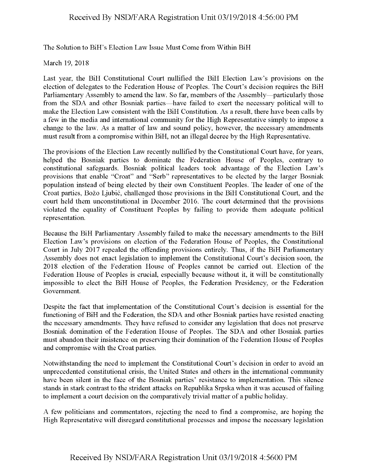## Received By NSD/FARA Registration Unit 03/19/2018 4:56:00 PM

The Solution to BiH's Election Law Issue Must Come from Within BiH

March 19, 2018

Last year, the BiH Constitutional Court nullified the BiH Election Law's provisions on the election of delegates to the federation House of Peoples. The Court's decision requires the BiH Parliamentary Assembly to amend the law. So far, members of the Assembly—particularly those from the SDA and other Bosniak parties—have failed to exert the necessary political will to make the Election Law consistent with the BiH Constitution. As a result, there have been calls by a few in the media and international community for the High Representative simply to impose a change to the law. As a matter of law and sound policy, however, the necessary amendments must result from a compromise within BiH, not an illegal decree by the High Representative.

The provisions of the Election Law recently nullified by the Constitutional Court have, for years, helped the Bosniak parties to dominate the federation House of Peoples, contrary to constitutional safeguards. Bosniak political leaders took advantage of the Election Law's provisions that enable "Croat" and "Serb" representatives to be elected by the larger Bosniak population instead of being elected by their own Constituent Peoples. The leader of one of the Croat parties, Bozo Ljubic, challenged those provisions in the BiH Constitutional Court, and the court held them unconstitutional in December 2016. The court determined that the provisions violated the equality of Constituent Peoples by failing to provide them adequate political representation.

Because the BiH Parliamentary Assembly failed to make the necessary amendments to the BiH Election Law's provisions on election of the federation House of Peoples, the Constitutional Court in July 2017 repealed the offending provisions entirely. Thus, if the BiH Parliamentary Assembly does not enact legislation to implement the Constitutional Court's decision soon, the 2018 election of the federation House of Peoples cannot be carried out. Election of the federation House of Peoples is crucial, especially because without it, it will be constitutionally impossible to elect the BiH House of Peoples, the federation Presidency, or the federation Government.

Despite the fact that implementation of the Constitutional Court's decision is essential for the functioning of BiH and the federation, the SDA and other Bosniak parties have resisted enacting the necessary amendments. They have refused to consider any legislation that does not preserve Bosniak domination of the federation House of Peoples. The SDA and other Bosniak parties must abandon their insistence on preserving their domination of the Federation House of Peoples and compromise with the Croat parties.

Notwithstanding the need to implement the Constitutional Court's decision in order to avoid an unprecedented constitutional crisis, the United States and others in the international community have been silent in the face of the Bosniak parties' resistance to implementation. This silence stands in stark contrast to the strident attacks on Republika Srpska when it was accused of failing to implement a court decision on the comparatively trivial matter of a public holiday.

A few politicians and commentators, rejecting the need to find a compromise, are hoping the High Representative will disregard constitutional processes and impose the necessary legislation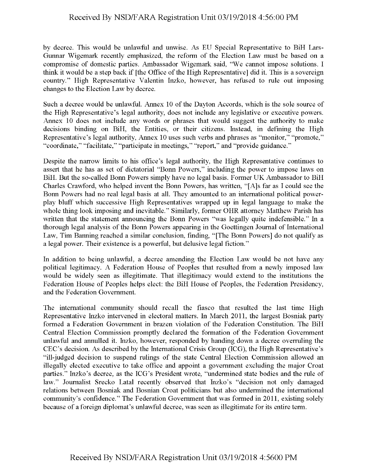## Received By NSD/FARA Registration Unit 03/19/2018 4:56:00 PM

by decree. This would be unlawful and unwise. As EU Special Representative to BiH Lars-Gunnar Wigemark recently emphasized, the reform of the Election Law must be based on a compromise of domestic parties. Ambassador Wigemark said, "We cannot impose solutions. I think it would be a step back if [the Office of the High Representative] did it. This is a sovereign country." High Representative Valentin Inzko, however, has refused to rule out imposing changes to the Election Law by decree.

Such a decree would be unlawful. Annex 10 of the Dayton Accords, which is the sole source of the High Representative's legal authority, does not include any legislative or executive powers. Annex 10 does not include any words or phrases that would suggest the authority to make decisions binding on BiH, the Entities, or their citizens. Instead, in defining the High Representative's legal authority, Annex 10 uses such verbs and phrases as "monitor," "promote," "coordinate," "facilitate," "participate in meetings," "report," and "provide guidance."

Despite the narrow limits to his office's legal authority, the High Representative continues to assert that he has as set of dictatorial "Bonn Powers," including the power to impose laws on BiH. But the so-called Bonn Powers simply have no legal basis. Former UK Ambassador to BiH Charles Crawford, who helped invent the Bonn Powers, has written, "[A]s far as I could see the Bonn Powers had no real legal basis at all. They amounted to an international political powerplay bluff which successive High Representatives wrapped up in legal language to make the whole thing look imposing and inevitable." Similarly, former OHR attorney Matthew Parish has written that the statement announcing the Bonn Powers "was legally quite indefensible." In a thorough legal analysis of the Bonn Powers appearing in the Goettingen Journal of International Law, Tim Banning reached a similar conclusion, finding, "[The Bonn Powers] do not qualify as a legal power. Their existence is a powerful, but delusive legal fiction."

In addition to being unlawful, a decree amending the Election Law would be not have any political legitimacy. A Federation House of Peoples that resulted from a newly imposed law would be widely seen as illegitimate. That illegitimacy would extend to the institutions the Federation House of Peoples helps elect: the BiH House of Peoples, the Federation Presidency, and the Federation Government.

The international community should recall the fiasco that resulted the last time High Representative Inzko intervened in electoral matters. In March 2011, the largest Bosniak party formed a Federation Government in brazen violation of the Federation Constitution. The BiH Central Election Commission promptly declared the formation of the Federation Government unlawful and annulled it. Inzko, however, responded by handing down a decree overruling the CEC's decision. As described by the International Crisis Group (ICG), the High Representative's "ill-judged decision to suspend rulings of the state Central Election Commission allowed an illegally elected executive to take office and appoint a government excluding the major Croat parties." Inzko's decree, as the ICG's President wrote, "undermined state bodies and the rule of law." Journalist Srecko Latal recently observed that Inzko's "decision not only damaged relations between Bosniak and Bosnian Croat politicians but also undermined the international community's confidence." The Federation Government that was formed in 2011, existing solely because of a foreign diplomat's unlawful decree, was seen as illegitimate for its entire term.